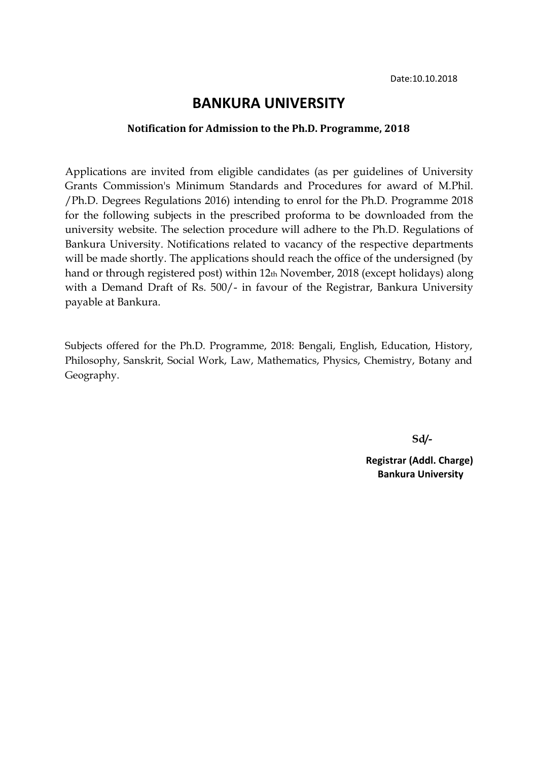## **BANKURA UNIVERSITY**

#### **Notification for Admission to the Ph.D. Programme, 2018**

Applications are invited from eligible candidates (as per guidelines of University Grants Commission's Minimum Standards and Procedures for award of M.Phil. /Ph.D. Degrees Regulations 2016) intending to enrol for the Ph.D. Programme 2018 for the following subjects in the prescribed proforma to be downloaded from the university website. The selection procedure will adhere to the Ph.D. Regulations of Bankura University. Notifications related to vacancy of the respective departments will be made shortly. The applications should reach the office of the undersigned (by hand or through registered post) within 12th November, 2018 (except holidays) along with a Demand Draft of Rs. 500/- in favour of the Registrar, Bankura University payable at Bankura.

Subjects offered for the Ph.D. Programme, 2018: Bengali, English, Education, History, Philosophy, Sanskrit, Social Work, Law, Mathematics, Physics, Chemistry, Botany and Geography.

**Sd/-**

**Registrar (Addl. Charge) Bankura University**